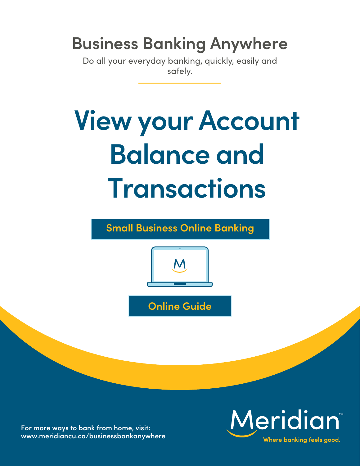## **Business Banking Anywhere**

Do all your everyday banking, quickly, easily and safely.

# **View your Account Balance and Transactions**

**Small Business Online Banking**



**Online Guide**

**For more ways to bank from home, visit: [www.meridiancu.ca/businessbankanywhere](http://www.meridiancu.ca/businessbankanywhere)**

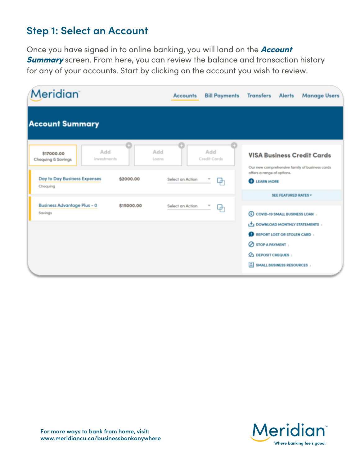#### **Step 1: Select an Account**

Once you have signed in to online banking, you will land on the Account **Summary** screen. From here, you can review the balance and transaction history for any of your accounts. Start by clicking on the account you wish to review.

| Meridian                                                               | <b>Accounts</b>  | <b>Bill Payments</b> | <b>Transfers</b>                                       | <b>Alerts</b>                       | <b>Manage Users</b>                                                                 |
|------------------------------------------------------------------------|------------------|----------------------|--------------------------------------------------------|-------------------------------------|-------------------------------------------------------------------------------------|
| <b>Account Summary</b>                                                 |                  |                      |                                                        |                                     |                                                                                     |
| Add<br>Add<br>\$17000.00<br>Investments<br>Chequing & Savings<br>Loans |                  | Add<br>Credit Cards  |                                                        |                                     | <b>VISA Business Credit Cards</b><br>Our new comprehensive family of business cards |
| Day to Day Business Expenses<br>\$2000.00<br>Chequing                  | Select an Action | цф                   | offers a range of options.<br><b>C</b> LEARN MORE      |                                     |                                                                                     |
|                                                                        |                  |                      |                                                        | <b>SEE FEATURED RATES -</b>         |                                                                                     |
| <b>Business Advantage Plus - 0</b><br>\$15000.00<br>Savings            | Select an Action | Ψл                   | ถ                                                      | <b>COVID-19 SMALL BUSINESS LOAN</b> |                                                                                     |
|                                                                        |                  |                      | DOWNLOAD MONTHLY STATEMENTS                            |                                     |                                                                                     |
|                                                                        |                  |                      | REPORT LOST OR STOLEN CARD<br>$\oslash$ STOP A PAYMENT |                                     |                                                                                     |
|                                                                        |                  |                      | $Q_2$ DEPOSIT CHEQUES                                  |                                     |                                                                                     |
|                                                                        |                  |                      | ▣                                                      | <b>SMALL BUSINESS RESOURCES</b>     |                                                                                     |

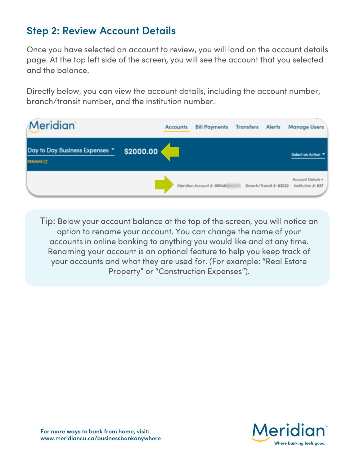### **Step 2: Review Account Details**

Once you have selected an account to review, you will land on the account details page. At the top left side of the screen, you will see the account that you selected and the balance.

Directly below, you can view the account details, including the account number, branch/transit number, and the institution number.

| <b>Meridian</b>                                     |           | <b>Accounts</b> | <b>Bill Payments</b>       | <b>Transfers</b> | <b>Alerts</b>           | <b>Manage Users</b>                     |
|-----------------------------------------------------|-----------|-----------------|----------------------------|------------------|-------------------------|-----------------------------------------|
| Day to Day Business Expenses *<br><b>RENAME [8]</b> | \$2000.00 |                 |                            |                  |                         | Select an Action ▼                      |
|                                                     |           |                 | Meridian Account #: 000461 |                  | Branch/Transit #: 62022 | Account Details +<br>Institution #: 837 |

Tip: Below your account balance at the top of the screen, you will notice an option to rename your account. You can change the name of your accounts in online banking to anything you would like and at any time. Renaming your account is an optional feature to help you keep track of your accounts and what they are used for. (For example: "Real Estate Property" or "Construction Expenses").

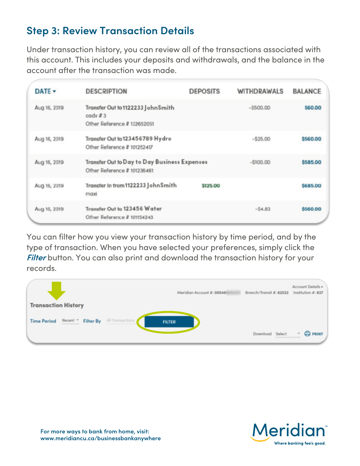### **Step 3: Review Transaction Details**

Under transaction history, you can review all of the transactions associated with this account. This includes your deposits and withdrawals, and the balance in the account after the transaction was made.

| DATE -       | <b>DESCRIPTION</b>                                                                   | <b>DEPOSITS</b> | <b>WITHDRAWALS</b> | <b>BALANCE</b> |
|--------------|--------------------------------------------------------------------------------------|-----------------|--------------------|----------------|
| Aug 16, 2019 | Transfer Out to 1122233 John Smith<br>$\text{cadv}$ #3<br>Other Reference #132652051 |                 | $-$ \$500.00       | \$60.00        |
| Aug 16, 2019 | Transfer Out to 123456789 Hydro<br>Other Reference #101252417                        |                 | $-$ S25.00         | \$560.00       |
| Aug 16, 2019 | Transfer Out to Day to Day Business Expenses<br>Other Reference #101236461           |                 | $-$100.00$         | \$585.00       |
| Aug 16, 2019 | Transfer In from 1122233 John Smith<br>maxi                                          | \$125.00        |                    | \$685.00       |
| Aug 16, 2019 | Transfer Out to 123456 Water<br>Other Reference # 101154243                          |                 | $-54.83$           | \$560.00       |

You can filter how you view your transaction history by time period, and by the type of transaction. When you have selected your preferences, simply click the **Filter** button. You can also print and download the transaction history for your records.